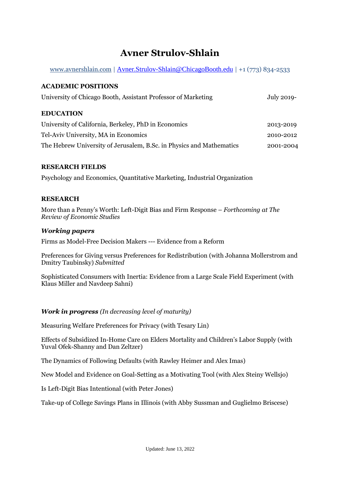# **Avner Strulov-Shlain**

[www.avnershlain.com](http://www.avnershlain.com/) | [Avner.Strulov-Shlain@ChicagoBooth.edu](mailto:Avner.Strulov-Shlain@ChicagoBooth.edu) | +1 (773) 834-2533

## **ACADEMIC POSITIONS**

| University of Chicago Booth, Assistant Professor of Marketing        | July 2019- |
|----------------------------------------------------------------------|------------|
| <b>EDUCATION</b>                                                     |            |
| University of California, Berkeley, PhD in Economics                 | 2013-2019  |
| Tel-Aviv University, MA in Economics                                 | 2010-2012  |
| The Hebrew University of Jerusalem, B.Sc. in Physics and Mathematics | 2001-2004  |

## **RESEARCH FIELDS**

Psychology and Economics, Quantitative Marketing, Industrial Organization

## **RESEARCH**

More than a Penny's Worth: Left-Digit Bias and Firm Response – *Forthcoming at The Review of Economic Studies*

## *Working papers*

Firms as Model-Free Decision Makers --- Evidence from a Reform

Preferences for Giving versus Preferences for Redistribution (with Johanna Mollerstrom and Dmitry Taubinsky) *Submitted*

Sophisticated Consumers with Inertia: Evidence from a Large Scale Field Experiment (with Klaus Miller and Navdeep Sahni)

# *Work in progress (In decreasing level of maturity)*

Measuring Welfare Preferences for Privacy (with Tesary Lin)

Effects of Subsidized In-Home Care on Elders Mortality and Children's Labor Supply (with Yuval Ofek-Shanny and Dan Zeltzer)

The Dynamics of Following Defaults (with Rawley Heimer and Alex Imas)

New Model and Evidence on Goal-Setting as a Motivating Tool (with Alex Steiny Wellsjo)

Is Left-Digit Bias Intentional (with Peter Jones)

Take-up of College Savings Plans in Illinois (with Abby Sussman and Guglielmo Briscese)